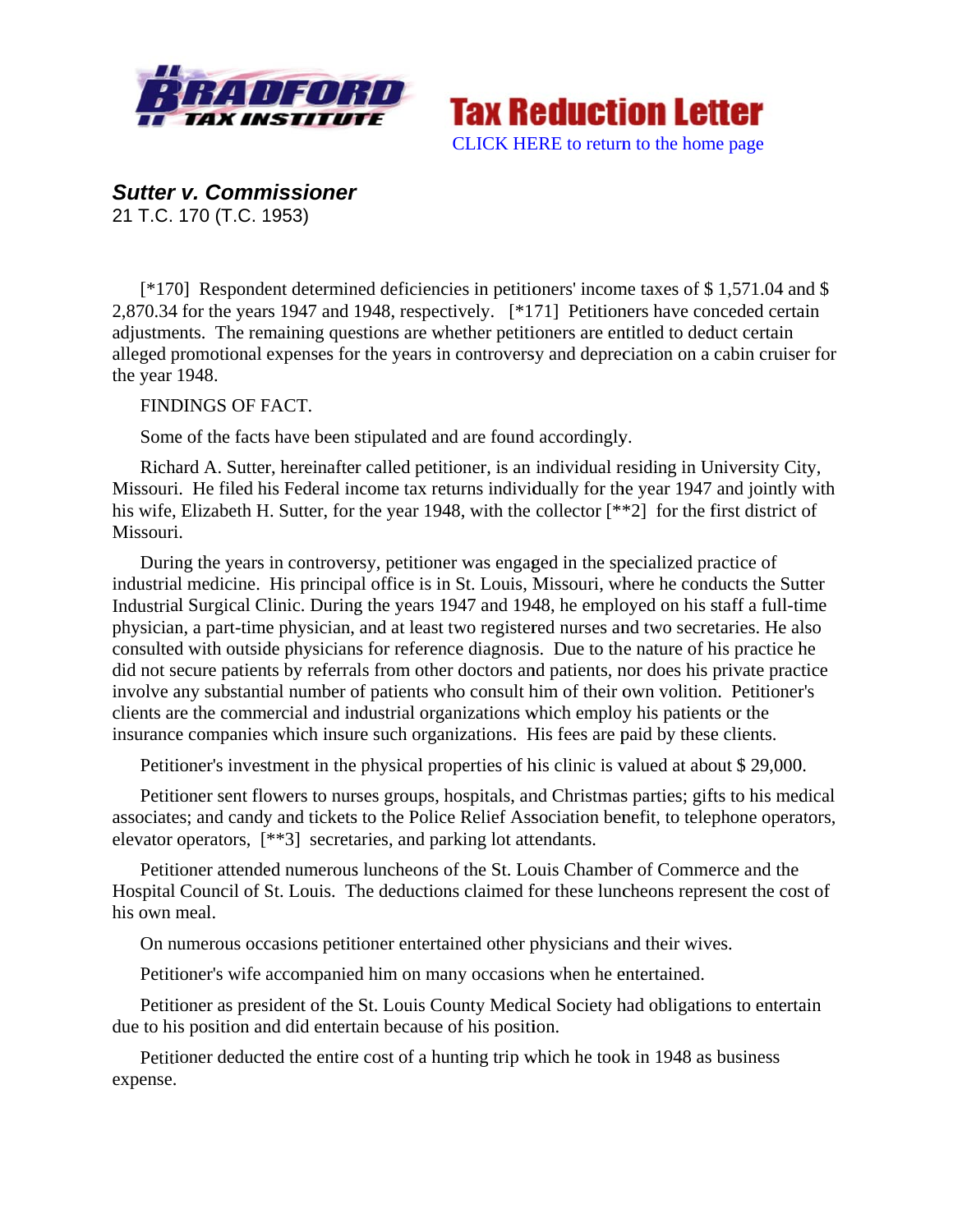



**Sutter v. Commissioner** 

21 T.C. 170 (T.C. 1953)

[ $*170$ ] Respondent determined deficiencies in petitioners' income taxes of \$1,571.04 and \$ 2.870.34 for the years 1947 and 1948, respectively. [\*171] Petitioners have conceded certain adjustments. The remaining questions are whether petitioners are entitled to deduct certain alleged promotional expenses for the years in controversy and depreciation on a cabin cruiser for the year 1948.

FINDINGS OF FACT.

Some of the facts have been stipulated and are found accordingly.

Richard A. Sutter, hereinafter called petitioner, is an individual residing in University City, Missouri. He filed his Federal income tax returns individually for the year 1947 and jointly with his wife, Elizabeth H. Sutter, for the year 1948, with the collector [\*\*2] for the first district of Missouri.

During the years in controversy, petitioner was engaged in the specialized practice of industrial medicine. His principal office is in St. Louis, Missouri, where he conducts the Sutter Industrial Surgical Clinic. During the years 1947 and 1948, he employed on his staff a full-time physician, a part-time physician, and at least two registered nurses and two secretaries. He also consulted with outside physicians for reference diagnosis. Due to the nature of his practice he did not secure patients by referrals from other doctors and patients, nor does his private practice involve any substantial number of patients who consult him of their own volition. Petitioner's clients are the commercial and industrial organizations which employ his patients or the insurance companies which insure such organizations. His fees are paid by these clients.

Petitioner's investment in the physical properties of his clinic is valued at about \$29,000.

Petitioner sent flowers to nurses groups, hospitals, and Christmas parties; gifts to his medical associates; and candy and tickets to the Police Relief Association benefit, to telephone operators, elevator operators, [\*\*3] secretaries, and parking lot attendants.

Petitioner attended numerous luncheons of the St. Louis Chamber of Commerce and the Hospital Council of St. Louis. The deductions claimed for these luncheons represent the cost of his own meal.

On numerous occasions petitioner entertained other physicians and their wives.

Petitioner's wife accompanied him on many occasions when he entertained.

Petitioner as president of the St. Louis County Medical Society had obligations to entertain due to his position and did entertain because of his position.

Petitioner deducted the entire cost of a hunting trip which he took in 1948 as business expense.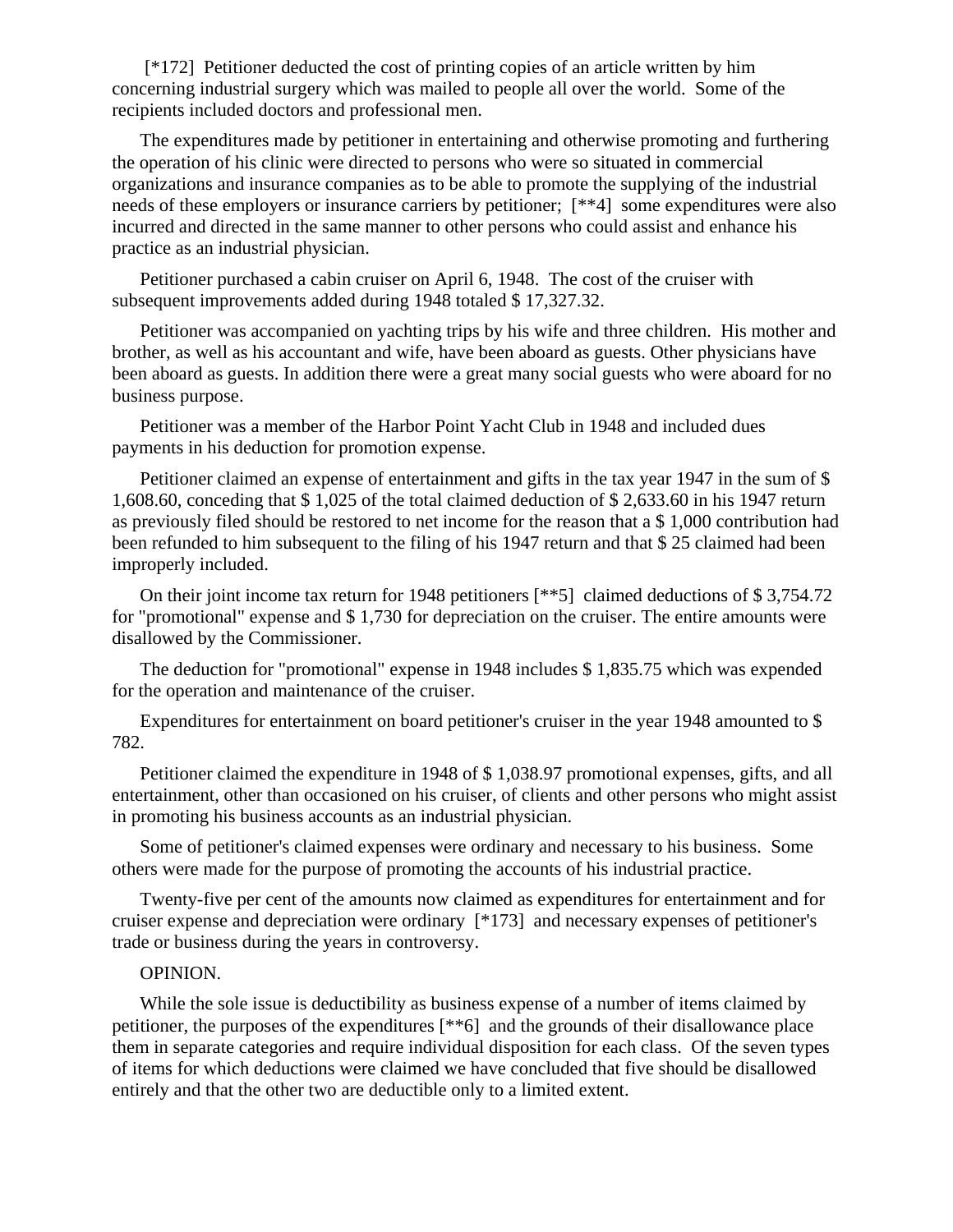[\*172] Petitioner deducted the cost of printing copies of an article written by him concerning industrial surgery which was mailed to people all over the world. Some of the recipients included doctors and professional men.

The expenditures made by petitioner in entertaining and otherwise promoting and furthering the operation of his clinic were directed to persons who were so situated in commercial organizations and insurance companies as to be able to promote the supplying of the industrial needs of these employers or insurance carriers by petitioner; [\*\*4] some expenditures were also incurred and directed in the same manner to other persons who could assist and enhance his practice as an industrial physician.

Petitioner purchased a cabin cruiser on April 6, 1948. The cost of the cruiser with subsequent improvements added during 1948 totaled \$17,327.32.

Petitioner was accompanied on yachting trips by his wife and three children. His mother and brother, as well as his accountant and wife, have been aboard as guests. Other physicians have been aboard as guests. In addition there were a great many social guests who were aboard for no business purpose.

Petitioner was a member of the Harbor Point Yacht Club in 1948 and included dues payments in his deduction for promotion expense.

Petitioner claimed an expense of entertainment and gifts in the tax year 1947 in the sum of \$ 1,608.60, conceding that \$ 1,025 of the total claimed deduction of \$ 2,633.60 in his 1947 return as previously filed should be restored to net income for the reason that a \$ 1,000 contribution had been refunded to him subsequent to the filing of his 1947 return and that \$ 25 claimed had been improperly included.

On their joint income tax return for 1948 petitioners [\*\*5] claimed deductions of \$ 3,754.72 for "promotional" expense and \$ 1,730 for depreciation on the cruiser. The entire amounts were disallowed by the Commissioner.

The deduction for "promotional" expense in 1948 includes \$1,835.75 which was expended for the operation and maintenance of the cruiser.

Expenditures for entertainment on board petitioner's cruiser in the year 1948 amounted to \$ 782.

Petitioner claimed the expenditure in 1948 of \$ 1,038.97 promotional expenses, gifts, and all entertainment, other than occasioned on his cruiser, of clients and other persons who might assist in promoting his business accounts as an industrial physician.

Some of petitioner's claimed expenses were ordinary and necessary to his business. Some others were made for the purpose of promoting the accounts of his industrial practice.

Twenty-five per cent of the amounts now claimed as expenditures for entertainment and for cruiser expense and depreciation were ordinary [\*173] and necessary expenses of petitioner's trade or business during the years in controversy.

## OPINION.

While the sole issue is deductibility as business expense of a number of items claimed by petitioner, the purposes of the expenditures [\*\*6] and the grounds of their disallowance place them in separate categories and require individual disposition for each class. Of the seven types of items for which deductions were claimed we have concluded that five should be disallowed entirely and that the other two are deductible only to a limited extent.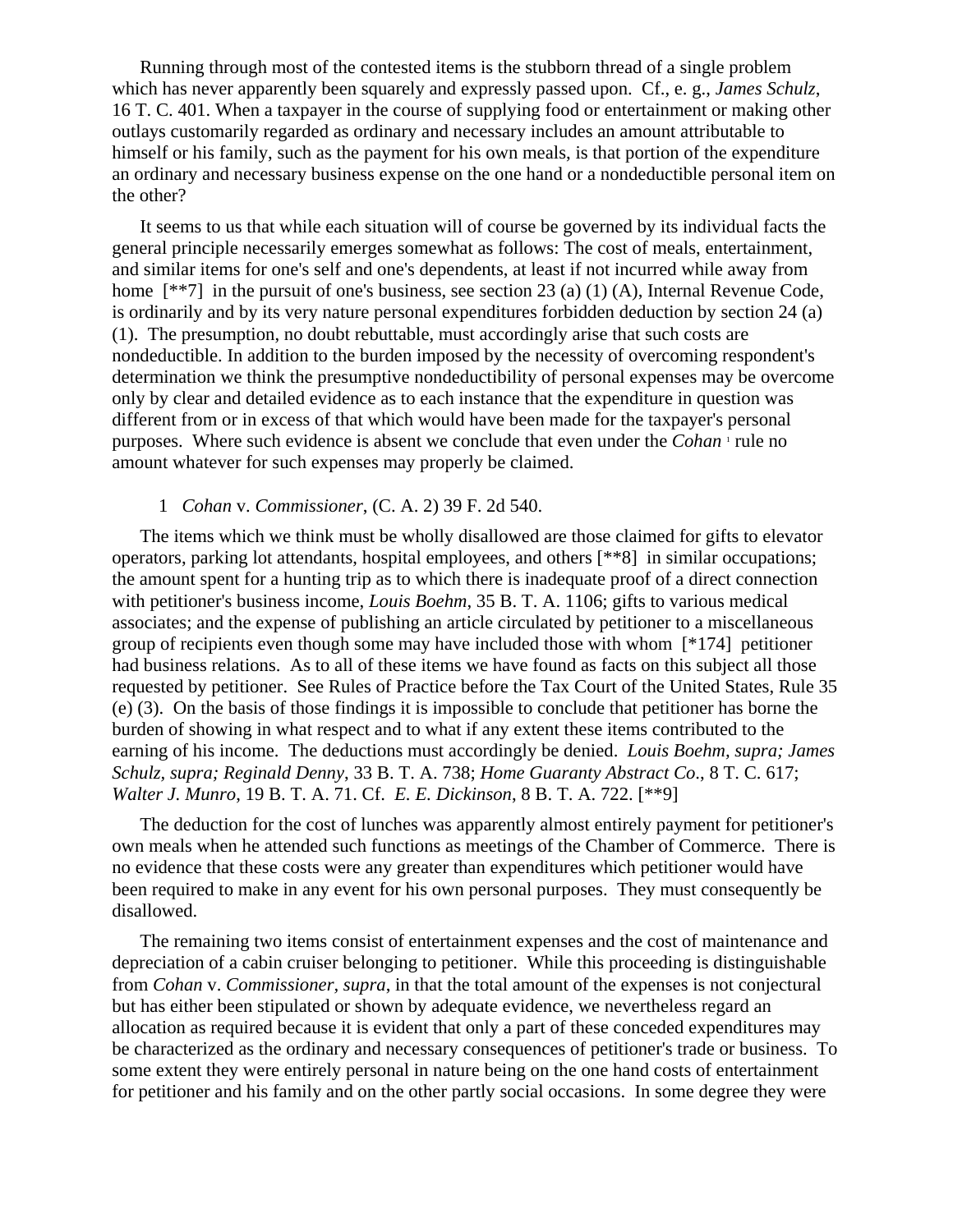Running through most of the contested items is the stubborn thread of a single problem which has never apparently been squarely and expressly passed upon. Cf., e. g., *James Schulz*, 16 T. C. 401. When a taxpayer in the course of supplying food or entertainment or making other outlays customarily regarded as ordinary and necessary includes an amount attributable to himself or his family, such as the payment for his own meals, is that portion of the expenditure an ordinary and necessary business expense on the one hand or a nondeductible personal item on the other?

It seems to us that while each situation will of course be governed by its individual facts the general principle necessarily emerges somewhat as follows: The cost of meals, entertainment, and similar items for one's self and one's dependents, at least if not incurred while away from home  $[**7]$  in the pursuit of one's business, see section 23 (a) (1) (A), Internal Revenue Code, is ordinarily and by its very nature personal expenditures forbidden deduction by section 24 (a) (1). The presumption, no doubt rebuttable, must accordingly arise that such costs are nondeductible. In addition to the burden imposed by the necessity of overcoming respondent's determination we think the presumptive nondeductibility of personal expenses may be overcome only by clear and detailed evidence as to each instance that the expenditure in question was different from or in excess of that which would have been made for the taxpayer's personal purposes. Where such evidence is absent we conclude that even under the *Cohan* ' rule no amount whatever for such expenses may properly be claimed.

## 1 *Cohan* v. *Commissioner*, (C. A. 2) 39 F. 2d 540.

The items which we think must be wholly disallowed are those claimed for gifts to elevator operators, parking lot attendants, hospital employees, and others [\*\*8] in similar occupations; the amount spent for a hunting trip as to which there is inadequate proof of a direct connection with petitioner's business income, *Louis Boehm*, 35 B. T. A. 1106; gifts to various medical associates; and the expense of publishing an article circulated by petitioner to a miscellaneous group of recipients even though some may have included those with whom [\*174] petitioner had business relations. As to all of these items we have found as facts on this subject all those requested by petitioner. See Rules of Practice before the Tax Court of the United States, Rule 35 (e) (3). On the basis of those findings it is impossible to conclude that petitioner has borne the burden of showing in what respect and to what if any extent these items contributed to the earning of his income. The deductions must accordingly be denied. *Louis Boehm, supra; James Schulz, supra; Reginald Denny*, 33 B. T. A. 738; *Home Guaranty Abstract Co*., 8 T. C. 617; *Walter J. Munro*, 19 B. T. A. 71. Cf. *E. E. Dickinson*, 8 B. T. A. 722. [\*\*9]

The deduction for the cost of lunches was apparently almost entirely payment for petitioner's own meals when he attended such functions as meetings of the Chamber of Commerce. There is no evidence that these costs were any greater than expenditures which petitioner would have been required to make in any event for his own personal purposes. They must consequently be disallowed.

The remaining two items consist of entertainment expenses and the cost of maintenance and depreciation of a cabin cruiser belonging to petitioner. While this proceeding is distinguishable from *Cohan* v. *Commissioner, supra*, in that the total amount of the expenses is not conjectural but has either been stipulated or shown by adequate evidence, we nevertheless regard an allocation as required because it is evident that only a part of these conceded expenditures may be characterized as the ordinary and necessary consequences of petitioner's trade or business. To some extent they were entirely personal in nature being on the one hand costs of entertainment for petitioner and his family and on the other partly social occasions. In some degree they were